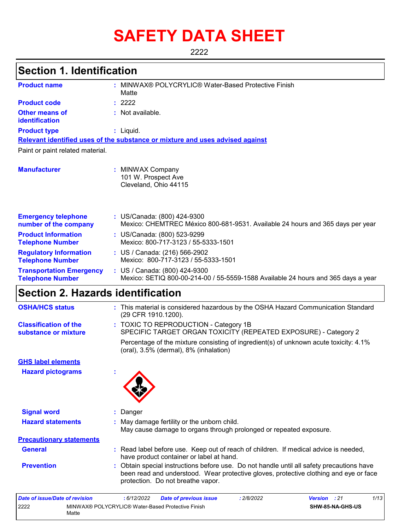# **SAFETY DATA SHEET**

2222

## **Section 1. Identification**

| <b>Product name</b>                                        | MINWAX® POLYCRYLIC® Water-Based Protective Finish<br>Matte                                                         |
|------------------------------------------------------------|--------------------------------------------------------------------------------------------------------------------|
| <b>Product code</b>                                        | : 2222                                                                                                             |
| <b>Other means of</b><br>identification                    | $:$ Not available.                                                                                                 |
| <b>Product type</b>                                        | $:$ Liquid.                                                                                                        |
|                                                            | Relevant identified uses of the substance or mixture and uses advised against                                      |
| Paint or paint related material.                           |                                                                                                                    |
| <b>Manufacturer</b>                                        | <b>MINWAX Company</b><br>101 W. Prospect Ave<br>Cleveland, Ohio 44115                                              |
| <b>Emergency telephone</b><br>number of the company        | : US/Canada: (800) 424-9300<br>Mexico: CHEMTREC México 800-681-9531. Available 24 hours and 365 days per year      |
| <b>Product Information</b><br><b>Telephone Number</b>      | : US/Canada: (800) 523-9299<br>Mexico: 800-717-3123 / 55-5333-1501                                                 |
| <b>Regulatory Information</b><br><b>Telephone Number</b>   | : US / Canada: (216) 566-2902<br>Mexico: 800-717-3123 / 55-5333-1501                                               |
| <b>Transportation Emergency</b><br><b>Telephone Number</b> | : US / Canada: (800) 424-9300<br>Mexico: SETIQ 800-00-214-00 / 55-5559-1588 Available 24 hours and 365 days a year |

## **Section 2. Hazards identification**

2222 MINWAX® POLYCRYLIC® Water-Based Protective Finish

Matte

| <b>OSHA/HCS status</b>                               | : This material is considered hazardous by the OSHA Hazard Communication Standard<br>(29 CFR 1910.1200).                                                                                                                |
|------------------------------------------------------|-------------------------------------------------------------------------------------------------------------------------------------------------------------------------------------------------------------------------|
| <b>Classification of the</b><br>substance or mixture | : TOXIC TO REPRODUCTION - Category 1B<br>SPECIFIC TARGET ORGAN TOXICITY (REPEATED EXPOSURE) - Category 2                                                                                                                |
|                                                      | Percentage of the mixture consisting of ingredient(s) of unknown acute toxicity: 4.1%<br>(oral), 3.5% (dermal), 8% (inhalation)                                                                                         |
| <b>GHS label elements</b>                            |                                                                                                                                                                                                                         |
| <b>Hazard pictograms</b>                             |                                                                                                                                                                                                                         |
| <b>Signal word</b>                                   | : Danger                                                                                                                                                                                                                |
| <b>Hazard statements</b>                             | : May damage fertility or the unborn child.<br>May cause damage to organs through prolonged or repeated exposure.                                                                                                       |
| <b>Precautionary statements</b>                      |                                                                                                                                                                                                                         |
| <b>General</b>                                       | : Read label before use. Keep out of reach of children. If medical advice is needed,<br>have product container or label at hand.                                                                                        |
| <b>Prevention</b>                                    | : Obtain special instructions before use. Do not handle until all safety precautions have<br>been read and understood. Wear protective gloves, protective clothing and eye or face<br>protection. Do not breathe vapor. |
| <b>Date of issue/Date of revision</b>                | 1/13<br>: 6/12/2022<br>: 2/8/2022<br><b>Date of previous issue</b><br><b>Version</b><br>: 21                                                                                                                            |

**SHW-85-NA-GHS-US**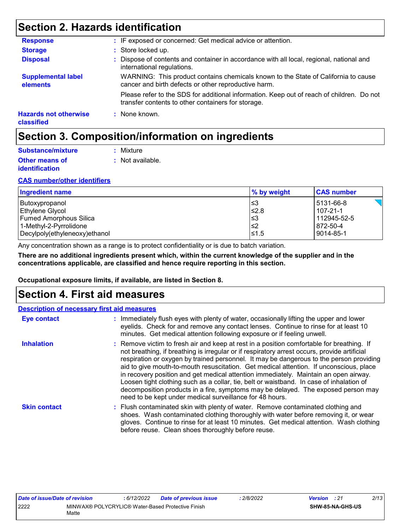## **Section 2. Hazards identification**

| <b>Response</b>                            | : IF exposed or concerned: Get medical advice or attention.                                                                                     |
|--------------------------------------------|-------------------------------------------------------------------------------------------------------------------------------------------------|
| <b>Storage</b>                             | : Store locked up.                                                                                                                              |
| <b>Disposal</b>                            | : Dispose of contents and container in accordance with all local, regional, national and<br>international regulations.                          |
| <b>Supplemental label</b><br>elements      | WARNING: This product contains chemicals known to the State of California to cause<br>cancer and birth defects or other reproductive harm.      |
|                                            | Please refer to the SDS for additional information. Keep out of reach of children. Do not<br>transfer contents to other containers for storage. |
| <b>Hazards not otherwise</b><br>classified | : None known.                                                                                                                                   |

## **Section 3. Composition/information on ingredients**

| Substance/mixture                              | : Mixture        |
|------------------------------------------------|------------------|
| <b>Other means of</b><br><i>identification</i> | : Not available. |

#### **CAS number/other identifiers**

| Ingredient name               | % by weight | <b>CAS number</b> |
|-------------------------------|-------------|-------------------|
| Butoxypropanol                | !≤3         | 5131-66-8         |
| Ethylene Glycol               | $≤2.8$      | 107-21-1          |
| <b>Fumed Amorphous Silica</b> | l≤3         | 112945-52-5       |
| 1-Methyl-2-Pyrrolidone        | l≤2         | 872-50-4          |
| Decylpoly(ethyleneoxy)ethanol | 51.5⊧       | 9014-85-1         |

Any concentration shown as a range is to protect confidentiality or is due to batch variation.

**There are no additional ingredients present which, within the current knowledge of the supplier and in the concentrations applicable, are classified and hence require reporting in this section.**

**Occupational exposure limits, if available, are listed in Section 8.**

### **Section 4. First aid measures**

|                     | <b>Description of necessary first aid measures</b>                                                                                                                                                                                                                                                                                                                                                                                                                                                                                                                                                                                                                                                                  |
|---------------------|---------------------------------------------------------------------------------------------------------------------------------------------------------------------------------------------------------------------------------------------------------------------------------------------------------------------------------------------------------------------------------------------------------------------------------------------------------------------------------------------------------------------------------------------------------------------------------------------------------------------------------------------------------------------------------------------------------------------|
| <b>Eye contact</b>  | : Immediately flush eyes with plenty of water, occasionally lifting the upper and lower<br>eyelids. Check for and remove any contact lenses. Continue to rinse for at least 10<br>minutes. Get medical attention following exposure or if feeling unwell.                                                                                                                                                                                                                                                                                                                                                                                                                                                           |
| <b>Inhalation</b>   | : Remove victim to fresh air and keep at rest in a position comfortable for breathing. If<br>not breathing, if breathing is irregular or if respiratory arrest occurs, provide artificial<br>respiration or oxygen by trained personnel. It may be dangerous to the person providing<br>aid to give mouth-to-mouth resuscitation. Get medical attention. If unconscious, place<br>in recovery position and get medical attention immediately. Maintain an open airway.<br>Loosen tight clothing such as a collar, tie, belt or waistband. In case of inhalation of<br>decomposition products in a fire, symptoms may be delayed. The exposed person may<br>need to be kept under medical surveillance for 48 hours. |
| <b>Skin contact</b> | : Flush contaminated skin with plenty of water. Remove contaminated clothing and<br>shoes. Wash contaminated clothing thoroughly with water before removing it, or wear<br>gloves. Continue to rinse for at least 10 minutes. Get medical attention. Wash clothing<br>before reuse. Clean shoes thoroughly before reuse.                                                                                                                                                                                                                                                                                                                                                                                            |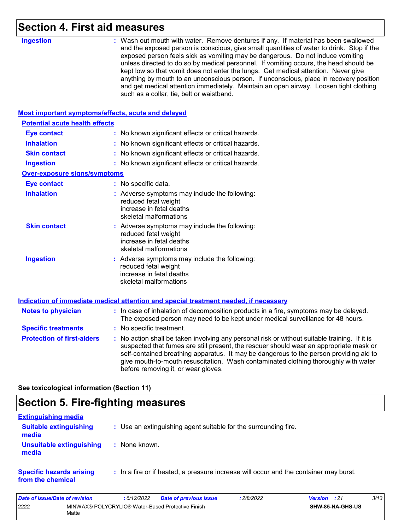## **Section 4. First aid measures**

|                                                    | <b>UL UIU IIIVUJUI V</b>                                                                                                                                                                                                                                                                                                                                                                                                                                                                                                                                                                                                                                                          |
|----------------------------------------------------|-----------------------------------------------------------------------------------------------------------------------------------------------------------------------------------------------------------------------------------------------------------------------------------------------------------------------------------------------------------------------------------------------------------------------------------------------------------------------------------------------------------------------------------------------------------------------------------------------------------------------------------------------------------------------------------|
| <b>Ingestion</b>                                   | : Wash out mouth with water. Remove dentures if any. If material has been swallowed<br>and the exposed person is conscious, give small quantities of water to drink. Stop if the<br>exposed person feels sick as vomiting may be dangerous. Do not induce vomiting<br>unless directed to do so by medical personnel. If vomiting occurs, the head should be<br>kept low so that vomit does not enter the lungs. Get medical attention. Never give<br>anything by mouth to an unconscious person. If unconscious, place in recovery position<br>and get medical attention immediately. Maintain an open airway. Loosen tight clothing<br>such as a collar, tie, belt or waistband. |
| Most important symptoms/effects, acute and delayed |                                                                                                                                                                                                                                                                                                                                                                                                                                                                                                                                                                                                                                                                                   |
| <b>Potential acute health effects</b>              |                                                                                                                                                                                                                                                                                                                                                                                                                                                                                                                                                                                                                                                                                   |
| <b>Eye contact</b>                                 | : No known significant effects or critical hazards.                                                                                                                                                                                                                                                                                                                                                                                                                                                                                                                                                                                                                               |
| <b>Inhalation</b>                                  | : No known significant effects or critical hazards.                                                                                                                                                                                                                                                                                                                                                                                                                                                                                                                                                                                                                               |
| <b>Skin contact</b>                                | : No known significant effects or critical hazards.                                                                                                                                                                                                                                                                                                                                                                                                                                                                                                                                                                                                                               |
| <b>Ingestion</b>                                   | : No known significant effects or critical hazards.                                                                                                                                                                                                                                                                                                                                                                                                                                                                                                                                                                                                                               |
| <b>Over-exposure signs/symptoms</b>                |                                                                                                                                                                                                                                                                                                                                                                                                                                                                                                                                                                                                                                                                                   |
| <b>Eye contact</b>                                 | : No specific data.                                                                                                                                                                                                                                                                                                                                                                                                                                                                                                                                                                                                                                                               |
| <b>Inhalation</b>                                  | : Adverse symptoms may include the following:<br>reduced fetal weight<br>increase in fetal deaths<br>skeletal malformations                                                                                                                                                                                                                                                                                                                                                                                                                                                                                                                                                       |
| <b>Skin contact</b>                                | : Adverse symptoms may include the following:<br>reduced fetal weight<br>increase in fetal deaths<br>skeletal malformations                                                                                                                                                                                                                                                                                                                                                                                                                                                                                                                                                       |
| <b>Ingestion</b>                                   | : Adverse symptoms may include the following:<br>reduced fetal weight<br>increase in fetal deaths<br>skeletal malformations                                                                                                                                                                                                                                                                                                                                                                                                                                                                                                                                                       |
|                                                    | Indication of immediate medical attention and special treatment needed, if necessary                                                                                                                                                                                                                                                                                                                                                                                                                                                                                                                                                                                              |
| <b>Notes to physician</b>                          | : In case of inhalation of decomposition products in a fire, symptoms may be delayed.<br>The exposed person may need to be kept under medical surveillance for 48 hours.                                                                                                                                                                                                                                                                                                                                                                                                                                                                                                          |
| <b>Specific treatments</b>                         | : No specific treatment.                                                                                                                                                                                                                                                                                                                                                                                                                                                                                                                                                                                                                                                          |
| <b>Protection of first-aiders</b>                  | : No action shall be taken involving any personal risk or without suitable training. If it is<br>suspected that fumes are still present, the rescuer should wear an appropriate mask or<br>self-contained breathing apparatus. It may be dangerous to the person providing aid to<br>give mouth-to-mouth resuscitation. Wash contaminated clothing thoroughly with water<br>before removing it, or wear gloves.                                                                                                                                                                                                                                                                   |

**See toxicological information (Section 11)**

## **Section 5. Fire-fighting measures**

| <b>Extinguishing media</b>                           |                                                                                       |
|------------------------------------------------------|---------------------------------------------------------------------------------------|
| <b>Suitable extinguishing</b><br>media               | : Use an extinguishing agent suitable for the surrounding fire.                       |
| Unsuitable extinguishing<br>media                    | : None known.                                                                         |
| <b>Specific hazards arising</b><br>from the chemical | : In a fire or if heated, a pressure increase will occur and the container may burst. |

| Date of issue/Date of revision |                                                            | 6/12/2022 | <b>Date of previous issue</b> | 2/8/2022 | <b>Version</b> : 21 |                         | 3/13 |
|--------------------------------|------------------------------------------------------------|-----------|-------------------------------|----------|---------------------|-------------------------|------|
| 2222                           | MINWAX® POLYCRYLIC® Water-Based Protective Finish<br>Matte |           |                               |          |                     | <b>SHW-85-NA-GHS-US</b> |      |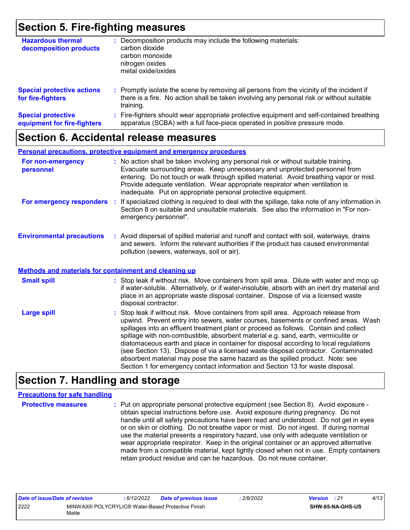## **Section 5. Fire-fighting measures**

| <b>Hazardous thermal</b><br>decomposition products       | Decomposition products may include the following materials:<br>carbon dioxide<br>carbon monoxide<br>nitrogen oxides<br>metal oxide/oxides                                                               |
|----------------------------------------------------------|---------------------------------------------------------------------------------------------------------------------------------------------------------------------------------------------------------|
| <b>Special protective actions</b><br>for fire-fighters   | Promptly isolate the scene by removing all persons from the vicinity of the incident if<br>÷.<br>there is a fire. No action shall be taken involving any personal risk or without suitable<br>training. |
| <b>Special protective</b><br>equipment for fire-fighters | Fire-fighters should wear appropriate protective equipment and self-contained breathing<br>apparatus (SCBA) with a full face-piece operated in positive pressure mode.                                  |

### **Section 6. Accidental release measures**

|                                                              | <b>Personal precautions, protective equipment and emergency procedures</b>                                                                                                                                                                                                                                                                                                                                       |
|--------------------------------------------------------------|------------------------------------------------------------------------------------------------------------------------------------------------------------------------------------------------------------------------------------------------------------------------------------------------------------------------------------------------------------------------------------------------------------------|
| For non-emergency<br>personnel                               | : No action shall be taken involving any personal risk or without suitable training.<br>Evacuate surrounding areas. Keep unnecessary and unprotected personnel from<br>entering. Do not touch or walk through spilled material. Avoid breathing vapor or mist.<br>Provide adequate ventilation. Wear appropriate respirator when ventilation is<br>inadequate. Put on appropriate personal protective equipment. |
|                                                              | For emergency responders : If specialized clothing is required to deal with the spillage, take note of any information in<br>Section 8 on suitable and unsuitable materials. See also the information in "For non-<br>emergency personnel".                                                                                                                                                                      |
| <b>Environmental precautions</b>                             | : Avoid dispersal of spilled material and runoff and contact with soil, waterways, drains<br>and sewers. Inform the relevant authorities if the product has caused environmental<br>pollution (sewers, waterways, soil or air).                                                                                                                                                                                  |
| <b>Methods and materials for containment and cleaning up</b> |                                                                                                                                                                                                                                                                                                                                                                                                                  |
| <b>Small spill</b>                                           | : Stop leak if without risk. Move containers from spill area. Dilute with water and mop up<br>if water-soluble. Alternatively, or if water-insoluble, absorb with an inert dry material and<br>place in an appropriate waste disposal container. Dispose of via a licensed waste<br>disposal contractor.                                                                                                         |
| <b>Large spill</b>                                           | : Stop leak if without risk. Move containers from spill area. Approach release from<br>upwind. Prevent entry into sewers, water courses, basements or confined areas. Wash                                                                                                                                                                                                                                       |

#### upwind. Prevent entry into sewers, water courses, basements or confined areas. Wash spillages into an effluent treatment plant or proceed as follows. Contain and collect spillage with non-combustible, absorbent material e.g. sand, earth, vermiculite or diatomaceous earth and place in container for disposal according to local regulations (see Section 13). Dispose of via a licensed waste disposal contractor. Contaminated absorbent material may pose the same hazard as the spilled product. Note: see Section 1 for emergency contact information and Section 13 for waste disposal.

## **Section 7. Handling and storage**

#### **Precautions for safe handling**

**Protective measures Theory of the exponential exponent (see Section 8).** Avoid exposure obtain special instructions before use. Avoid exposure during pregnancy. Do not handle until all safety precautions have been read and understood. Do not get in eyes or on skin or clothing. Do not breathe vapor or mist. Do not ingest. If during normal use the material presents a respiratory hazard, use only with adequate ventilation or wear appropriate respirator. Keep in the original container or an approved alternative made from a compatible material, kept tightly closed when not in use. Empty containers retain product residue and can be hazardous. Do not reuse container.

| Date of issue/Date of revision |                                                            | : 6/12/2022 | <b>Date of previous issue</b> | 2/8/2022 | <b>Version</b> : 21 |                  | 4/13 |
|--------------------------------|------------------------------------------------------------|-------------|-------------------------------|----------|---------------------|------------------|------|
| 2222                           | MINWAX® POLYCRYLIC® Water-Based Protective Finish<br>Matte |             |                               |          |                     | SHW-85-NA-GHS-US |      |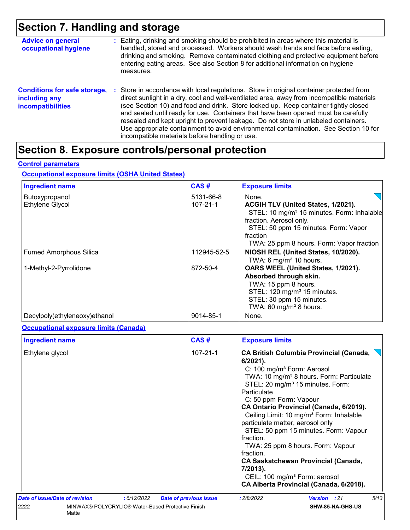## **Section 7. Handling and storage**

| <b>Advice on general</b><br>occupational hygiene                                 | : Eating, drinking and smoking should be prohibited in areas where this material is<br>handled, stored and processed. Workers should wash hands and face before eating,<br>drinking and smoking. Remove contaminated clothing and protective equipment before<br>entering eating areas. See also Section 8 for additional information on hygiene<br>measures.                                                                                                                                                                                                                                       |
|----------------------------------------------------------------------------------|-----------------------------------------------------------------------------------------------------------------------------------------------------------------------------------------------------------------------------------------------------------------------------------------------------------------------------------------------------------------------------------------------------------------------------------------------------------------------------------------------------------------------------------------------------------------------------------------------------|
| <b>Conditions for safe storage,</b><br>including any<br><b>incompatibilities</b> | : Store in accordance with local regulations. Store in original container protected from<br>direct sunlight in a dry, cool and well-ventilated area, away from incompatible materials<br>(see Section 10) and food and drink. Store locked up. Keep container tightly closed<br>and sealed until ready for use. Containers that have been opened must be carefully<br>resealed and kept upright to prevent leakage. Do not store in unlabeled containers.<br>Use appropriate containment to avoid environmental contamination. See Section 10 for<br>incompatible materials before handling or use. |

# **Section 8. Exposure controls/personal protection**

#### **Control parameters**

#### **Occupational exposure limits (OSHA United States)**

| <b>Ingredient name</b>        | CAS#           | <b>Exposure limits</b>                                 |
|-------------------------------|----------------|--------------------------------------------------------|
| Butoxypropanol                | 5131-66-8      | None.                                                  |
| Ethylene Glycol               | $107 - 21 - 1$ | ACGIH TLV (United States, 1/2021).                     |
|                               |                | STEL: 10 mg/m <sup>3</sup> 15 minutes. Form: Inhalable |
|                               |                | fraction. Aerosol only.                                |
|                               |                | STEL: 50 ppm 15 minutes. Form: Vapor                   |
|                               |                | fraction                                               |
|                               |                | TWA: 25 ppm 8 hours. Form: Vapor fraction              |
| <b>Fumed Amorphous Silica</b> | 112945-52-5    | NIOSH REL (United States, 10/2020).                    |
|                               |                | TWA: 6 $mg/m3$ 10 hours.                               |
| 1-Methyl-2-Pyrrolidone        | 872-50-4       | OARS WEEL (United States, 1/2021).                     |
|                               |                | Absorbed through skin.                                 |
|                               |                | TWA: 15 ppm 8 hours.                                   |
|                               |                | STEL: 120 mg/m <sup>3</sup> 15 minutes.                |
|                               |                | STEL: 30 ppm 15 minutes.                               |
|                               |                | TWA: 60 mg/m <sup>3</sup> 8 hours.                     |
| Decylpoly(ethyleneoxy)ethanol | 9014-85-1      | None.                                                  |

#### **Occupational exposure limits (Canada)**

| CAS#<br><b>Ingredient name</b>        |                                                   |                               | <b>Exposure limits</b>                                                                                                                                                                                                                                                                                                                                                                                                                                                                                                                                                                                                                                   |  |  |  |
|---------------------------------------|---------------------------------------------------|-------------------------------|----------------------------------------------------------------------------------------------------------------------------------------------------------------------------------------------------------------------------------------------------------------------------------------------------------------------------------------------------------------------------------------------------------------------------------------------------------------------------------------------------------------------------------------------------------------------------------------------------------------------------------------------------------|--|--|--|
| Ethylene glycol                       |                                                   | $107 - 21 - 1$                | <b>CA British Columbia Provincial (Canada,</b><br>$6/2021$ ).<br>C: 100 mg/m <sup>3</sup> Form: Aerosol<br>TWA: 10 mg/m <sup>3</sup> 8 hours. Form: Particulate<br>STEL: 20 mg/m <sup>3</sup> 15 minutes. Form:<br>Particulate<br>C: 50 ppm Form: Vapour<br>CA Ontario Provincial (Canada, 6/2019).<br>Ceiling Limit: 10 mg/m <sup>3</sup> Form: Inhalable<br>particulate matter, aerosol only<br>STEL: 50 ppm 15 minutes. Form: Vapour<br>fraction.<br>TWA: 25 ppm 8 hours. Form: Vapour<br>fraction.<br><b>CA Saskatchewan Provincial (Canada,</b><br>7/2013).<br>CEIL: 100 mg/m <sup>3</sup> Form: aerosol<br>CA Alberta Provincial (Canada, 6/2018). |  |  |  |
| <b>Date of issue/Date of revision</b> | : 6/12/2022                                       | <b>Date of previous issue</b> | 5/13<br>: 2/8/2022<br>Version : 21                                                                                                                                                                                                                                                                                                                                                                                                                                                                                                                                                                                                                       |  |  |  |
| 2222<br>Matte                         | MINWAX® POLYCRYLIC® Water-Based Protective Finish |                               | SHW-85-NA-GHS-US                                                                                                                                                                                                                                                                                                                                                                                                                                                                                                                                                                                                                                         |  |  |  |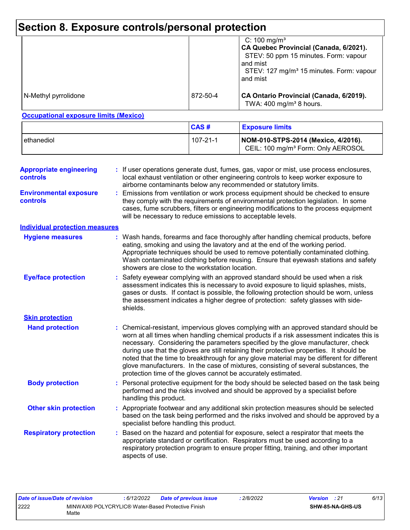# **Section 8. Exposure controls/personal protection**

|                      |          | C: 100 mg/m <sup>3</sup><br>CA Quebec Provincial (Canada, 6/2021).<br>STEV: 50 ppm 15 minutes. Form: vapour<br>and mist<br>STEV: 127 mg/m <sup>3</sup> 15 minutes. Form: vapour<br>and mist |
|----------------------|----------|---------------------------------------------------------------------------------------------------------------------------------------------------------------------------------------------|
| N-Methyl pyrrolidone | 872-50-4 | CA Ontario Provincial (Canada, 6/2019).<br>TWA: $400 \text{ mg/m}^3$ 8 hours.                                                                                                               |

#### **Occupational exposure limits (Mexico)**

|              | CAS#     | <b>Exposure limits</b>                                                                |
|--------------|----------|---------------------------------------------------------------------------------------|
| l ethanediol | 107-21-1 | NOM-010-STPS-2014 (Mexico, 4/2016).<br>CEIL: 100 mg/m <sup>3</sup> Form: Only AEROSOL |

| Emissions from ventilation or work process equipment should be checked to ensure<br>they comply with the requirements of environmental protection legislation. In some<br>cases, fume scrubbers, filters or engineering modifications to the process equipment<br>will be necessary to reduce emissions to acceptable levels.<br><b>Individual protection measures</b><br>Wash hands, forearms and face thoroughly after handling chemical products, before<br><b>Hygiene measures</b><br>eating, smoking and using the lavatory and at the end of the working period.<br>Appropriate techniques should be used to remove potentially contaminated clothing.<br>Wash contaminated clothing before reusing. Ensure that eyewash stations and safety<br>showers are close to the workstation location.<br><b>Eye/face protection</b><br>Safety eyewear complying with an approved standard should be used when a risk<br>assessment indicates this is necessary to avoid exposure to liquid splashes, mists,<br>gases or dusts. If contact is possible, the following protection should be worn, unless<br>the assessment indicates a higher degree of protection: safety glasses with side-<br>shields.<br><b>Skin protection</b><br><b>Hand protection</b><br>Chemical-resistant, impervious gloves complying with an approved standard should be<br>worn at all times when handling chemical products if a risk assessment indicates this is<br>necessary. Considering the parameters specified by the glove manufacturer, check<br>during use that the gloves are still retaining their protective properties. It should be<br>noted that the time to breakthrough for any glove material may be different for different<br>glove manufacturers. In the case of mixtures, consisting of several substances, the<br>protection time of the gloves cannot be accurately estimated.<br><b>Body protection</b><br>Personal protective equipment for the body should be selected based on the task being<br>performed and the risks involved and should be approved by a specialist before<br>handling this product.<br><b>Other skin protection</b><br>Appropriate footwear and any additional skin protection measures should be selected<br>based on the task being performed and the risks involved and should be approved by a<br>specialist before handling this product.<br><b>Respiratory protection</b><br>Based on the hazard and potential for exposure, select a respirator that meets the<br>appropriate standard or certification. Respirators must be used according to a<br>respiratory protection program to ensure proper fitting, training, and other important<br>aspects of use. | <b>Appropriate engineering</b><br><b>controls</b> | : If user operations generate dust, fumes, gas, vapor or mist, use process enclosures,<br>local exhaust ventilation or other engineering controls to keep worker exposure to<br>airborne contaminants below any recommended or statutory limits. |  |  |  |  |
|----------------------------------------------------------------------------------------------------------------------------------------------------------------------------------------------------------------------------------------------------------------------------------------------------------------------------------------------------------------------------------------------------------------------------------------------------------------------------------------------------------------------------------------------------------------------------------------------------------------------------------------------------------------------------------------------------------------------------------------------------------------------------------------------------------------------------------------------------------------------------------------------------------------------------------------------------------------------------------------------------------------------------------------------------------------------------------------------------------------------------------------------------------------------------------------------------------------------------------------------------------------------------------------------------------------------------------------------------------------------------------------------------------------------------------------------------------------------------------------------------------------------------------------------------------------------------------------------------------------------------------------------------------------------------------------------------------------------------------------------------------------------------------------------------------------------------------------------------------------------------------------------------------------------------------------------------------------------------------------------------------------------------------------------------------------------------------------------------------------------------------------------------------------------------------------------------------------------------------------------------------------------------------------------------------------------------------------------------------------------------------------------------------------------------------------------------------------------------------------------------------------------------------------------------------------------------------------------------------------------------------------------------------------------------------------------------|---------------------------------------------------|--------------------------------------------------------------------------------------------------------------------------------------------------------------------------------------------------------------------------------------------------|--|--|--|--|
|                                                                                                                                                                                                                                                                                                                                                                                                                                                                                                                                                                                                                                                                                                                                                                                                                                                                                                                                                                                                                                                                                                                                                                                                                                                                                                                                                                                                                                                                                                                                                                                                                                                                                                                                                                                                                                                                                                                                                                                                                                                                                                                                                                                                                                                                                                                                                                                                                                                                                                                                                                                                                                                                                                    | <b>Environmental exposure</b><br><b>controls</b>  |                                                                                                                                                                                                                                                  |  |  |  |  |
|                                                                                                                                                                                                                                                                                                                                                                                                                                                                                                                                                                                                                                                                                                                                                                                                                                                                                                                                                                                                                                                                                                                                                                                                                                                                                                                                                                                                                                                                                                                                                                                                                                                                                                                                                                                                                                                                                                                                                                                                                                                                                                                                                                                                                                                                                                                                                                                                                                                                                                                                                                                                                                                                                                    |                                                   |                                                                                                                                                                                                                                                  |  |  |  |  |
|                                                                                                                                                                                                                                                                                                                                                                                                                                                                                                                                                                                                                                                                                                                                                                                                                                                                                                                                                                                                                                                                                                                                                                                                                                                                                                                                                                                                                                                                                                                                                                                                                                                                                                                                                                                                                                                                                                                                                                                                                                                                                                                                                                                                                                                                                                                                                                                                                                                                                                                                                                                                                                                                                                    |                                                   |                                                                                                                                                                                                                                                  |  |  |  |  |
|                                                                                                                                                                                                                                                                                                                                                                                                                                                                                                                                                                                                                                                                                                                                                                                                                                                                                                                                                                                                                                                                                                                                                                                                                                                                                                                                                                                                                                                                                                                                                                                                                                                                                                                                                                                                                                                                                                                                                                                                                                                                                                                                                                                                                                                                                                                                                                                                                                                                                                                                                                                                                                                                                                    |                                                   |                                                                                                                                                                                                                                                  |  |  |  |  |
|                                                                                                                                                                                                                                                                                                                                                                                                                                                                                                                                                                                                                                                                                                                                                                                                                                                                                                                                                                                                                                                                                                                                                                                                                                                                                                                                                                                                                                                                                                                                                                                                                                                                                                                                                                                                                                                                                                                                                                                                                                                                                                                                                                                                                                                                                                                                                                                                                                                                                                                                                                                                                                                                                                    |                                                   |                                                                                                                                                                                                                                                  |  |  |  |  |
|                                                                                                                                                                                                                                                                                                                                                                                                                                                                                                                                                                                                                                                                                                                                                                                                                                                                                                                                                                                                                                                                                                                                                                                                                                                                                                                                                                                                                                                                                                                                                                                                                                                                                                                                                                                                                                                                                                                                                                                                                                                                                                                                                                                                                                                                                                                                                                                                                                                                                                                                                                                                                                                                                                    |                                                   |                                                                                                                                                                                                                                                  |  |  |  |  |
|                                                                                                                                                                                                                                                                                                                                                                                                                                                                                                                                                                                                                                                                                                                                                                                                                                                                                                                                                                                                                                                                                                                                                                                                                                                                                                                                                                                                                                                                                                                                                                                                                                                                                                                                                                                                                                                                                                                                                                                                                                                                                                                                                                                                                                                                                                                                                                                                                                                                                                                                                                                                                                                                                                    |                                                   |                                                                                                                                                                                                                                                  |  |  |  |  |
|                                                                                                                                                                                                                                                                                                                                                                                                                                                                                                                                                                                                                                                                                                                                                                                                                                                                                                                                                                                                                                                                                                                                                                                                                                                                                                                                                                                                                                                                                                                                                                                                                                                                                                                                                                                                                                                                                                                                                                                                                                                                                                                                                                                                                                                                                                                                                                                                                                                                                                                                                                                                                                                                                                    |                                                   |                                                                                                                                                                                                                                                  |  |  |  |  |
|                                                                                                                                                                                                                                                                                                                                                                                                                                                                                                                                                                                                                                                                                                                                                                                                                                                                                                                                                                                                                                                                                                                                                                                                                                                                                                                                                                                                                                                                                                                                                                                                                                                                                                                                                                                                                                                                                                                                                                                                                                                                                                                                                                                                                                                                                                                                                                                                                                                                                                                                                                                                                                                                                                    |                                                   |                                                                                                                                                                                                                                                  |  |  |  |  |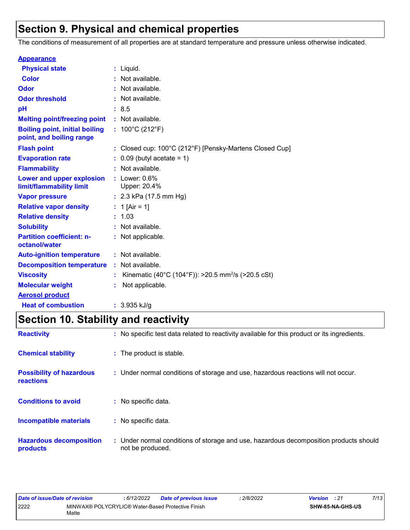## **Section 9. Physical and chemical properties**

The conditions of measurement of all properties are at standard temperature and pressure unless otherwise indicated.

| <b>Appearance</b>                                                 |                                                                |
|-------------------------------------------------------------------|----------------------------------------------------------------|
| <b>Physical state</b>                                             | : Liquid.                                                      |
| <b>Color</b>                                                      | Not available.                                                 |
| Odor                                                              | Not available.                                                 |
| <b>Odor threshold</b>                                             | Not available.                                                 |
| рH                                                                | : 8.5                                                          |
| <b>Melting point/freezing point</b>                               | : Not available.                                               |
| <b>Boiling point, initial boiling</b><br>point, and boiling range | : $100^{\circ}$ C (212 $^{\circ}$ F)                           |
| <b>Flash point</b>                                                | Closed cup: 100°C (212°F) [Pensky-Martens Closed Cup]          |
| <b>Evaporation rate</b>                                           | $0.09$ (butyl acetate = 1)                                     |
| <b>Flammability</b>                                               | Not available.                                                 |
| Lower and upper explosion<br>limit/flammability limit             | $:$ Lower: $0.6\%$<br>Upper: 20.4%                             |
| <b>Vapor pressure</b>                                             | : $2.3$ kPa (17.5 mm Hg)                                       |
| <b>Relative vapor density</b>                                     | 1 [Air = 1]                                                    |
| <b>Relative density</b>                                           | 1.03                                                           |
| <b>Solubility</b>                                                 | Not available.                                                 |
| <b>Partition coefficient: n-</b><br>octanol/water                 | : Not applicable.                                              |
| <b>Auto-ignition temperature</b>                                  | : Not available.                                               |
| <b>Decomposition temperature</b>                                  | : Not available.                                               |
| <b>Viscosity</b>                                                  | Kinematic (40°C (104°F)): >20.5 mm <sup>2</sup> /s (>20.5 cSt) |
| <b>Molecular weight</b>                                           | Not applicable.                                                |
| <b>Aerosol product</b>                                            |                                                                |
| <b>Heat of combustion</b>                                         | $: 3.935$ kJ/g                                                 |

# **Section 10. Stability and reactivity**

| <b>Reactivity</b>                            | : No specific test data related to reactivity available for this product or its ingredients.              |
|----------------------------------------------|-----------------------------------------------------------------------------------------------------------|
| <b>Chemical stability</b>                    | : The product is stable.                                                                                  |
| <b>Possibility of hazardous</b><br>reactions | : Under normal conditions of storage and use, hazardous reactions will not occur.                         |
| <b>Conditions to avoid</b>                   | : No specific data.                                                                                       |
| <b>Incompatible materials</b>                | : No specific data.                                                                                       |
| <b>Hazardous decomposition</b><br>products   | : Under normal conditions of storage and use, hazardous decomposition products should<br>not be produced. |

| Date of issue/Date of revision |                                                            | 6/12/2022 | <b>Date of previous issue</b> | 2/8/2022 | <b>Version</b> : 21 |                  | 7/13 |
|--------------------------------|------------------------------------------------------------|-----------|-------------------------------|----------|---------------------|------------------|------|
| 2222                           | MINWAX® POLYCRYLIC® Water-Based Protective Finish<br>Matte |           |                               |          |                     | SHW-85-NA-GHS-US |      |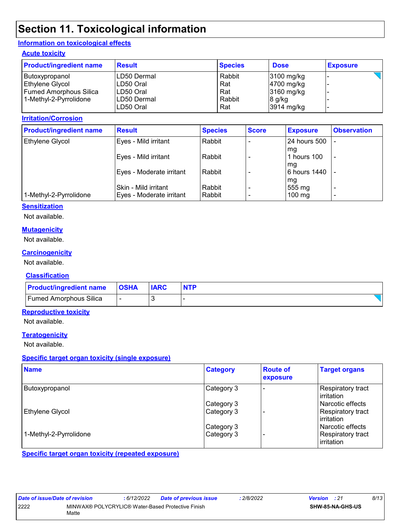## **Section 11. Toxicological information**

#### **Information on toxicological effects**

#### **Acute toxicity**

| <b>Product/ingredient name</b> | <b>Result</b> | <b>Species</b> | <b>Dose</b>  | <b>Exposure</b> |
|--------------------------------|---------------|----------------|--------------|-----------------|
| Butoxypropanol                 | LD50 Dermal   | Rabbit         | $3100$ mg/kg |                 |
| Ethylene Glycol                | LD50 Oral     | Rat            | 4700 mg/kg   |                 |
| Fumed Amorphous Silica         | LD50 Oral     | Rat            | $3160$ mg/kg |                 |
| 1-Methyl-2-Pyrrolidone         | LD50 Dermal   | Rabbit         | $8$ g/kg     |                 |
|                                | LD50 Oral     | Rat            | $3914$ mg/kg |                 |

#### **Irritation/Corrosion**

| <b>Product/ingredient name</b> | <b>Result</b>                                    | <b>Species</b>   | <b>Score</b>             | <b>Exposure</b>                  | <b>Observation</b>                                   |
|--------------------------------|--------------------------------------------------|------------------|--------------------------|----------------------------------|------------------------------------------------------|
| <b>Ethylene Glycol</b>         | Eyes - Mild irritant                             | Rabbit           |                          | <b>24 hours 500</b>              |                                                      |
|                                | Eyes - Mild irritant                             | Rabbit           |                          | mq<br>hours 100<br>mg            | ٠                                                    |
|                                | Eyes - Moderate irritant                         | Rabbit           |                          | 6 hours 1440                     |                                                      |
| 1-Methyl-2-Pyrrolidone         | Skin - Mild irritant<br>Eyes - Moderate irritant | Rabbit<br>Rabbit | $\overline{\phantom{0}}$ | mg<br>555 mg<br>$100 \text{ mg}$ | $\overline{\phantom{0}}$<br>$\overline{\phantom{0}}$ |

#### **Sensitization**

Not available.

#### **Mutagenicity**

Not available.

#### **Carcinogenicity**

Not available.

#### **Classification**

| <b>Product/ingredient name</b> | <b>OSHA</b> | <b>IARC</b> | <b>NTP</b> |
|--------------------------------|-------------|-------------|------------|
| <b>Fumed Amorphous Silica</b>  | -           |             |            |

#### **Reproductive toxicity**

Not available.

#### **Teratogenicity**

Not available.

#### **Specific target organ toxicity (single exposure)**

| <b>Name</b>            | <b>Category</b> | <b>Route of</b><br>exposure | <b>Target organs</b>                     |
|------------------------|-----------------|-----------------------------|------------------------------------------|
| Butoxypropanol         | Category 3      |                             | <b>Respiratory tract</b><br>l irritation |
|                        | Category 3      |                             | l Narcotic effects                       |
| Ethylene Glycol        | Category 3      |                             | Respiratory tract<br><b>lirritation</b>  |
|                        | Category 3      |                             | l Narcotic effects                       |
| 1-Methyl-2-Pyrrolidone | Category 3      |                             | <b>Respiratory tract</b><br>irritation   |

**Specific target organ toxicity (repeated exposure)**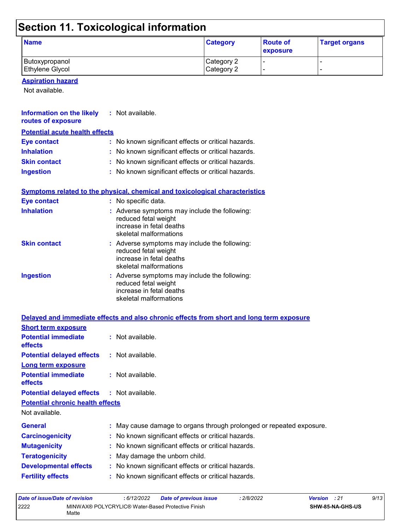# **Section 11. Toxicological information**

| <b>Name</b>            | <b>Category</b> | <b>Route of</b><br>exposure | <b>Target organs</b> |
|------------------------|-----------------|-----------------------------|----------------------|
| Butoxypropanol         | Category 2      |                             |                      |
| <b>Ethylene Glycol</b> | Category 2      |                             |                      |

**Aspiration hazard**

Not available.

| <b>Information on the likely</b><br>routes of exposure | $:$ Not available.                                                                                                          |
|--------------------------------------------------------|-----------------------------------------------------------------------------------------------------------------------------|
| <b>Potential acute health effects</b>                  |                                                                                                                             |
| <b>Eye contact</b>                                     | : No known significant effects or critical hazards.                                                                         |
| <b>Inhalation</b>                                      | : No known significant effects or critical hazards.                                                                         |
| <b>Skin contact</b>                                    | : No known significant effects or critical hazards.                                                                         |
| <b>Ingestion</b>                                       | : No known significant effects or critical hazards.                                                                         |
|                                                        | Symptoms related to the physical, chemical and toxicological characteristics                                                |
| <b>Eye contact</b>                                     | : No specific data.                                                                                                         |
| <b>Inhalation</b>                                      | : Adverse symptoms may include the following:<br>reduced fetal weight<br>increase in fetal deaths<br>skeletal malformations |
| <b>Skin contact</b>                                    | : Adverse symptoms may include the following:<br>reduced fetal weight<br>increase in fetal deaths<br>skeletal malformations |
| <b>Ingestion</b>                                       | : Adverse symptoms may include the following:<br>reduced fetal weight<br>increase in fetal deaths<br>skeletal malformations |
|                                                        | Delayed and immediate effects and also chronic effects from short and long term exposure                                    |
| <b>Short term exposure</b>                             |                                                                                                                             |
| <b>Potential immediate</b><br>effects                  | : Not available.                                                                                                            |
| <b>Potential delayed effects</b>                       | : Not available.                                                                                                            |
| <b>Long term exposure</b>                              |                                                                                                                             |
| <b>Potential immediate</b><br>effects                  | : Not available.                                                                                                            |

**Potential delayed effects :** Not available.

**Potential chronic health effects**

Not available.

| <b>General</b>               | : May cause damage to organs through prolonged or repeated exposure. |
|------------------------------|----------------------------------------------------------------------|
| <b>Carcinogenicity</b>       | : No known significant effects or critical hazards.                  |
| <b>Mutagenicity</b>          | : No known significant effects or critical hazards.                  |
| <b>Teratogenicity</b>        | : May damage the unborn child.                                       |
| <b>Developmental effects</b> | : No known significant effects or critical hazards.                  |
| <b>Fertility effects</b>     | : No known significant effects or critical hazards.                  |

| Date of issue/Date of revision |                                                            | 6/12/2022 | <b>Date of previous issue</b> | 2/8/2022 | <b>Version</b> : 21 |                         | 9/13 |
|--------------------------------|------------------------------------------------------------|-----------|-------------------------------|----------|---------------------|-------------------------|------|
| 2222                           | MINWAX® POLYCRYLIC® Water-Based Protective Finish<br>Matte |           |                               |          |                     | <b>SHW-85-NA-GHS-US</b> |      |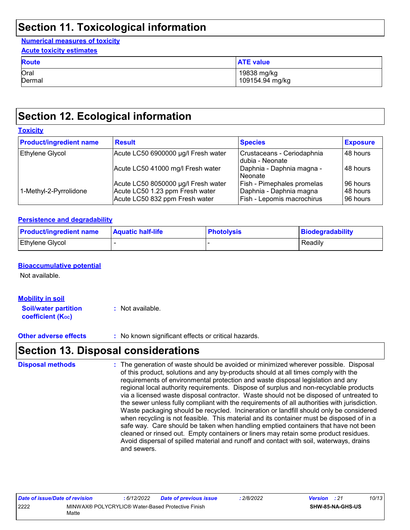## **Section 11. Toxicological information**

#### **Numerical measures of toxicity Acute toxicity estimates**

| <b>ACUTE TOXICITY ESTIMATES</b> |                  |  |  |  |
|---------------------------------|------------------|--|--|--|
| <b>Route</b>                    | <b>ATE</b> value |  |  |  |
| Oral                            | 19838 mg/kg      |  |  |  |
| Dermal                          | 109154.94 mg/kg  |  |  |  |

## **Section 12. Ecological information**

| <b>Toxicity</b>                |                                                                   |                                                       |                      |  |  |  |  |
|--------------------------------|-------------------------------------------------------------------|-------------------------------------------------------|----------------------|--|--|--|--|
| <b>Product/ingredient name</b> | <b>Result</b>                                                     | <b>Species</b>                                        | <b>Exposure</b>      |  |  |  |  |
| Ethylene Glycol                | Acute LC50 6900000 µg/l Fresh water                               | Crustaceans - Ceriodaphnia<br>Idubia - Neonate        | 48 hours             |  |  |  |  |
|                                | Acute LC50 41000 mg/l Fresh water                                 | Daphnia - Daphnia magna -<br>l Neonate                | 48 hours             |  |  |  |  |
|                                | Acute LC50 8050000 µg/l Fresh water                               | Fish - Pimephales promelas                            | 96 hours             |  |  |  |  |
| 1-Methyl-2-Pyrrolidone         | Acute LC50 1.23 ppm Fresh water<br>Acute LC50 832 ppm Fresh water | Daphnia - Daphnia magna<br>Fish - Lepomis macrochirus | 48 hours<br>96 hours |  |  |  |  |

#### **Persistence and degradability**

| <b>Product/ingredient name</b> | <b>Aquatic half-life</b> | <b>Photolysis</b> | Biodegradability |
|--------------------------------|--------------------------|-------------------|------------------|
| <b>Ethylene Glycol</b>         |                          |                   | Readily          |

#### **Bioaccumulative potential**

Not available.

#### **Mobility in soil**

**Soil/water partition coefficient (KOC) :** Not available.

**Other adverse effects** : No known significant effects or critical hazards.

## **Section 13. Disposal considerations**

| <b>Disposal methods</b> | : The generation of waste should be avoided or minimized wherever possible. Disposal<br>of this product, solutions and any by-products should at all times comply with the<br>requirements of environmental protection and waste disposal legislation and any<br>regional local authority requirements. Dispose of surplus and non-recyclable products<br>via a licensed waste disposal contractor. Waste should not be disposed of untreated to<br>the sewer unless fully compliant with the requirements of all authorities with jurisdiction.<br>Waste packaging should be recycled. Incineration or landfill should only be considered<br>when recycling is not feasible. This material and its container must be disposed of in a<br>safe way. Care should be taken when handling emptied containers that have not been<br>cleaned or rinsed out. Empty containers or liners may retain some product residues.<br>Avoid dispersal of spilled material and runoff and contact with soil, waterways, drains<br>and sewers. |
|-------------------------|-------------------------------------------------------------------------------------------------------------------------------------------------------------------------------------------------------------------------------------------------------------------------------------------------------------------------------------------------------------------------------------------------------------------------------------------------------------------------------------------------------------------------------------------------------------------------------------------------------------------------------------------------------------------------------------------------------------------------------------------------------------------------------------------------------------------------------------------------------------------------------------------------------------------------------------------------------------------------------------------------------------------------------|
|-------------------------|-------------------------------------------------------------------------------------------------------------------------------------------------------------------------------------------------------------------------------------------------------------------------------------------------------------------------------------------------------------------------------------------------------------------------------------------------------------------------------------------------------------------------------------------------------------------------------------------------------------------------------------------------------------------------------------------------------------------------------------------------------------------------------------------------------------------------------------------------------------------------------------------------------------------------------------------------------------------------------------------------------------------------------|

| Date of issue/Date of revision |                                                            | 6/12/2022 | <b>Date of previous issue</b> | 2/8/2022 | <b>Version</b> : 21 |                  | 10/13 |
|--------------------------------|------------------------------------------------------------|-----------|-------------------------------|----------|---------------------|------------------|-------|
| 2222                           | MINWAX® POLYCRYLIC® Water-Based Protective Finish<br>Matte |           |                               |          |                     | SHW-85-NA-GHS-US |       |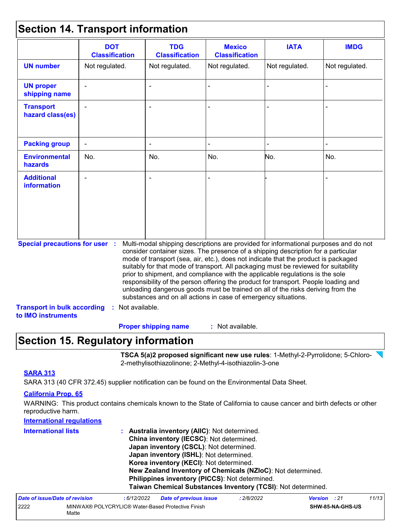## **Section 14. Transport information**

|                                                                             | <b>DOT</b><br><b>Classification</b> | <b>TDG</b><br><b>Classification</b>                                                                                                                                                                                                                                                                                                                                                                                                                                                                                                                                                                                                                                                 | <b>Mexico</b><br><b>Classification</b> | <b>IATA</b>    | <b>IMDG</b>    |
|-----------------------------------------------------------------------------|-------------------------------------|-------------------------------------------------------------------------------------------------------------------------------------------------------------------------------------------------------------------------------------------------------------------------------------------------------------------------------------------------------------------------------------------------------------------------------------------------------------------------------------------------------------------------------------------------------------------------------------------------------------------------------------------------------------------------------------|----------------------------------------|----------------|----------------|
| <b>UN number</b>                                                            | Not regulated.                      | Not regulated.                                                                                                                                                                                                                                                                                                                                                                                                                                                                                                                                                                                                                                                                      | Not regulated.                         | Not regulated. | Not regulated. |
| <b>UN proper</b><br>shipping name                                           |                                     |                                                                                                                                                                                                                                                                                                                                                                                                                                                                                                                                                                                                                                                                                     |                                        |                |                |
| <b>Transport</b><br>hazard class(es)                                        |                                     |                                                                                                                                                                                                                                                                                                                                                                                                                                                                                                                                                                                                                                                                                     |                                        |                |                |
| <b>Packing group</b>                                                        |                                     |                                                                                                                                                                                                                                                                                                                                                                                                                                                                                                                                                                                                                                                                                     |                                        |                |                |
| <b>Environmental</b><br>hazards                                             | No.                                 | No.                                                                                                                                                                                                                                                                                                                                                                                                                                                                                                                                                                                                                                                                                 | No.                                    | No.            | No.            |
| <b>Additional</b><br><b>information</b>                                     |                                     |                                                                                                                                                                                                                                                                                                                                                                                                                                                                                                                                                                                                                                                                                     |                                        |                |                |
| <b>Special precautions for user :</b><br><b>Transport in bulk according</b> | : Not available.                    | Multi-modal shipping descriptions are provided for informational purposes and do not<br>consider container sizes. The presence of a shipping description for a particular<br>mode of transport (sea, air, etc.), does not indicate that the product is packaged<br>suitably for that mode of transport. All packaging must be reviewed for suitability<br>prior to shipment, and compliance with the applicable regulations is the sole<br>responsibility of the person offering the product for transport. People loading and<br>unloading dangerous goods must be trained on all of the risks deriving from the<br>substances and on all actions in case of emergency situations. |                                        |                |                |
| to IMO instruments                                                          |                                     |                                                                                                                                                                                                                                                                                                                                                                                                                                                                                                                                                                                                                                                                                     |                                        |                |                |
|                                                                             |                                     | <b>Proper shipping name</b>                                                                                                                                                                                                                                                                                                                                                                                                                                                                                                                                                                                                                                                         | : Not available.                       |                |                |

# **Section 15. Regulatory information**

2222 MINWAX® POLYCRYLIC® Water-Based Protective Finish

Matte

**TSCA 5(a)2 proposed significant new use rules**: 1-Methyl-2-Pyrrolidone; 5-Chloro-2-methylisothiazolinone; 2-Methyl-4-isothiazolin-3-one

**SHW-85-NA-GHS-US**

#### **SARA 313**

SARA 313 (40 CFR 372.45) supplier notification can be found on the Environmental Data Sheet.

#### **California Prop. 65**

WARNING: This product contains chemicals known to the State of California to cause cancer and birth defects or other reproductive harm.

| <b>International regulations</b> |                                                                                                                                                                                                                                                                                                                                                  |  |  |  |  |  |  |  |                                |            |                                                              |            |                     |       |
|----------------------------------|--------------------------------------------------------------------------------------------------------------------------------------------------------------------------------------------------------------------------------------------------------------------------------------------------------------------------------------------------|--|--|--|--|--|--|--|--------------------------------|------------|--------------------------------------------------------------|------------|---------------------|-------|
| <b>International lists</b>       | <b>Australia inventory (AIIC): Not determined.</b><br>China inventory (IECSC): Not determined.<br>Japan inventory (CSCL): Not determined.<br>Japan inventory (ISHL): Not determined.<br>Korea inventory (KECI): Not determined.<br>New Zealand Inventory of Chemicals (NZIoC): Not determined.<br>Philippines inventory (PICCS): Not determined. |  |  |  |  |  |  |  |                                |            |                                                              |            |                     |       |
|                                  |                                                                                                                                                                                                                                                                                                                                                  |  |  |  |  |  |  |  |                                |            | Taiwan Chemical Substances Inventory (TCSI): Not determined. |            |                     |       |
|                                  |                                                                                                                                                                                                                                                                                                                                                  |  |  |  |  |  |  |  | Date of issue/Date of revision | :6/12/2022 | <b>Date of previous issue</b>                                | : 2/8/2022 | <b>Version</b> : 21 | 11/13 |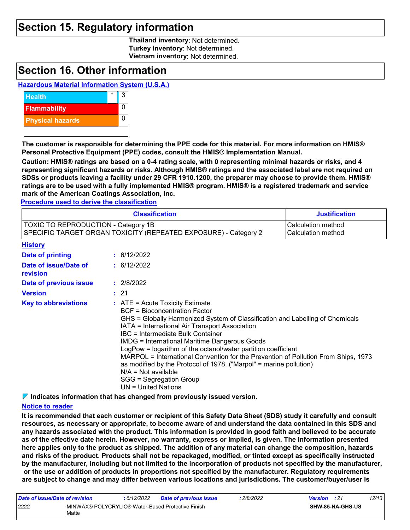### **Section 15. Regulatory information**

**Thailand inventory**: Not determined. **Turkey inventory**: Not determined. **Vietnam inventory**: Not determined.

### **Section 16. Other information**

#### **Hazardous Material Information System (U.S.A.)**



**The customer is responsible for determining the PPE code for this material. For more information on HMIS® Personal Protective Equipment (PPE) codes, consult the HMIS® Implementation Manual.**

**Caution: HMIS® ratings are based on a 0-4 rating scale, with 0 representing minimal hazards or risks, and 4 representing significant hazards or risks. Although HMIS® ratings and the associated label are not required on SDSs or products leaving a facility under 29 CFR 1910.1200, the preparer may choose to provide them. HMIS® ratings are to be used with a fully implemented HMIS® program. HMIS® is a registered trademark and service mark of the American Coatings Association, Inc.**

**Procedure used to derive the classification**

|                                                                                                               | <b>Justification</b>                                                                                                                                                                                                                                                                                                                                                                                                                                                                                                                                                                                                |  |  |  |  |
|---------------------------------------------------------------------------------------------------------------|---------------------------------------------------------------------------------------------------------------------------------------------------------------------------------------------------------------------------------------------------------------------------------------------------------------------------------------------------------------------------------------------------------------------------------------------------------------------------------------------------------------------------------------------------------------------------------------------------------------------|--|--|--|--|
| <b>TOXIC TO REPRODUCTION - Category 1B</b><br>SPECIFIC TARGET ORGAN TOXICITY (REPEATED EXPOSURE) - Category 2 | Calculation method<br>Calculation method                                                                                                                                                                                                                                                                                                                                                                                                                                                                                                                                                                            |  |  |  |  |
| <b>History</b>                                                                                                |                                                                                                                                                                                                                                                                                                                                                                                                                                                                                                                                                                                                                     |  |  |  |  |
| Date of printing                                                                                              | : 6/12/2022                                                                                                                                                                                                                                                                                                                                                                                                                                                                                                                                                                                                         |  |  |  |  |
| Date of issue/Date of<br>revision                                                                             | : 6/12/2022                                                                                                                                                                                                                                                                                                                                                                                                                                                                                                                                                                                                         |  |  |  |  |
| Date of previous issue                                                                                        | : 2/8/2022                                                                                                                                                                                                                                                                                                                                                                                                                                                                                                                                                                                                          |  |  |  |  |
| <b>Version</b>                                                                                                | : 21                                                                                                                                                                                                                                                                                                                                                                                                                                                                                                                                                                                                                |  |  |  |  |
| <b>Key to abbreviations</b>                                                                                   | $:$ ATE = Acute Toxicity Estimate<br><b>BCF</b> = Bioconcentration Factor<br>GHS = Globally Harmonized System of Classification and Labelling of Chemicals<br>IATA = International Air Transport Association<br>IBC = Intermediate Bulk Container<br><b>IMDG = International Maritime Dangerous Goods</b><br>LogPow = logarithm of the octanol/water partition coefficient<br>MARPOL = International Convention for the Prevention of Pollution From Ships, 1973<br>as modified by the Protocol of 1978. ("Marpol" = marine pollution)<br>$N/A = Not available$<br>SGG = Segregation Group<br>$UN = United Nations$ |  |  |  |  |

**Indicates information that has changed from previously issued version.**

#### **Notice to reader**

**It is recommended that each customer or recipient of this Safety Data Sheet (SDS) study it carefully and consult resources, as necessary or appropriate, to become aware of and understand the data contained in this SDS and any hazards associated with the product. This information is provided in good faith and believed to be accurate as of the effective date herein. However, no warranty, express or implied, is given. The information presented here applies only to the product as shipped. The addition of any material can change the composition, hazards and risks of the product. Products shall not be repackaged, modified, or tinted except as specifically instructed by the manufacturer, including but not limited to the incorporation of products not specified by the manufacturer, or the use or addition of products in proportions not specified by the manufacturer. Regulatory requirements are subject to change and may differ between various locations and jurisdictions. The customer/buyer/user is** 

| Date of issue/Date of revision |                                                            | : 6/12/2022 | <b>Date of previous issue</b> | 2/8/2022 | <b>Version</b> : 21 |                  | 12/13 |
|--------------------------------|------------------------------------------------------------|-------------|-------------------------------|----------|---------------------|------------------|-------|
| 2222                           | MINWAX® POLYCRYLIC® Water-Based Protective Finish<br>Matte |             |                               |          |                     | SHW-85-NA-GHS-US |       |